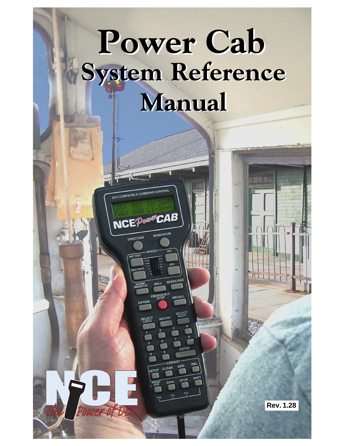# System Reference Manual Power Cab

LE COMMAND CONTRO

**NCEPOUPOCAB** 

IRECTION

Power of DC

**Rev. 1.28**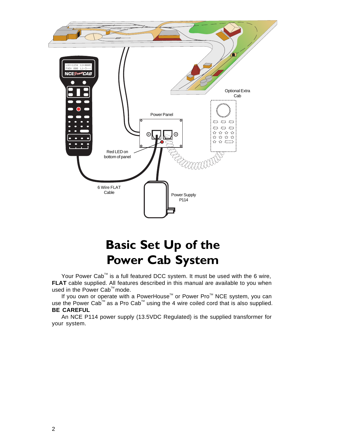

## Basic Set Up of the Power Cab System

Your Power Cab<sup>™</sup> is a full featured DCC system. It must be used with the 6 wire, **FLAT** cable supplied. All features described in this manual are available to you when used in the Power Cab<sup>™</sup> mode.

If you own or operate with a PowerHouse<sup>™</sup> or Power Pro<sup>™</sup> NCE system, you can use the Power Cab<sup>™</sup> as a Pro Cab<sup>™</sup> using the 4 wire coiled cord that is also supplied. **BE CAREFUL**

An NCE P114 power supply (13.5VDC Regulated) is the supplied transformer for your system.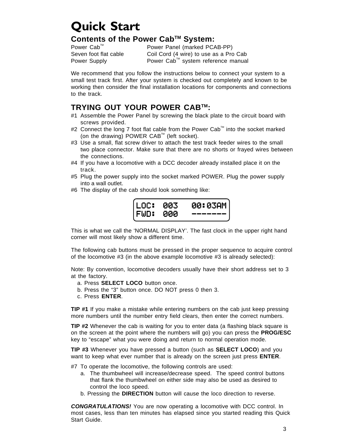## Quick Start

#### **Contents of the Power CabTM System:**

Power Cab<sup>™</sup> Power Panel (marked PCAB-PP) Seven foot flat cable Coil Cord (4 wire) to use as a Pro Cab Power Supply Power Cab<sup>™</sup> system reference manual

We recommend that you follow the instructions below to connect your system to a small test track first. After your system is checked out completely and known to be working then consider the final installation locations for components and connections to the track.

#### **TRYING OUT YOUR POWER CABTM:**

- #1 Assemble the Power Panel by screwing the black plate to the circuit board with screws provided.
- #2 Connect the long 7 foot flat cable from the Power Cab<sup>™</sup> into the socket marked (on the drawing) POWER CAB™ (left socket).
- #3 Use a small, flat screw driver to attach the test track feeder wires to the small two place connector. Make sure that there are no shorts or frayed wires between the connections.
- #4 If you have a locomotive with a DCC decoder already installed place it on the track.
- #5 Plug the power supply into the socket marked POWER. Plug the power supply into a wall outlet.
- #6 The display of the cab should look something like:



This is what we call the 'NORMAL DISPLAY'. The fast clock in the upper right hand corner will most likely show a different time.

The following cab buttons must be pressed in the proper sequence to acquire control of the locomotive #3 (in the above example locomotive #3 is already selected):

Note: By convention, locomotive decoders usually have their short address set to 3 at the factory.

- a. Press **SELECT LOCO** button once.
- b. Press the "3" button once. DO NOT press 0 then 3.
- c. Press **ENTER**.

**TIP #1** If you make a mistake while entering numbers on the cab just keep pressing more numbers until the number entry field clears, then enter the correct numbers.

**TIP #2** Whenever the cab is waiting for you to enter data (a flashing black square is on the screen at the point where the numbers will go) you can press the **PROG/ESC** key to "escape" what you were doing and return to normal operation mode.

**TIP #3** Whenever you have pressed a button (such as **SELECT LOCO**) and you want to keep what ever number that is already on the screen just press **ENTER**.

#7 To operate the locomotive, the following controls are used:

- a. The thumbwheel will increase/decrease speed. The speed control buttons that flank the thumbwheel on either side may also be used as desired to control the loco speed.
- b. Pressing the **DIRECTION** button will cause the loco direction to reverse.

**CONGRATULATIONS!** You are now operating a locomotive with DCC control. In most cases, less than ten minutes has elapsed since you started reading this Quick Start Guide.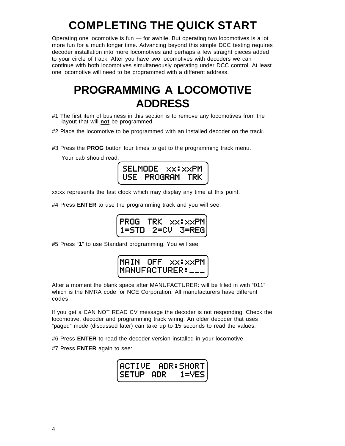# **COMPLETING THE QUICK START**

Operating one locomotive is fun — for awhile. But operating two locomotives is a lot more fun for a much longer time. Advancing beyond this simple DCC testing requires decoder installation into more locomotives and perhaps a few straight pieces added to your circle of track. After you have two locomotives with decoders we can continue with both locomotives simultaneously operating under DCC control. At least one locomotive will need to be programmed with a different address.

### **PROGRAMMING A LOCOMOTIVE ADDRESS**

- #1 The first item of business in this section is to remove any locomotives from the layout that will **not** be programmed.
- #2 Place the locomotive to be programmed with an installed decoder on the track.

#3 Press the **PROG** button four times to get to the programming track menu.

Your cab should read:



xx:xx represents the fast clock which may display any time at this point.

#4 Press **ENTER** to use the programming track and you will see:



#5 Press "**1**" to use Standard programming. You will see:



After a moment the blank space after MANUFACTURER: will be filled in with "011" which is the NMRA code for NCE Corporation. All manufacturers have different codes.

If you get a CAN NOT READ CV message the decoder is not responding. Check the locomotive, decoder and programming track wiring. An older decoder that uses "paged" mode (discussed later) can take up to 15 seconds to read the values.

#6 Press **ENTER** to read the decoder version installed in your locomotive.

#7 Press **ENTER** again to see: